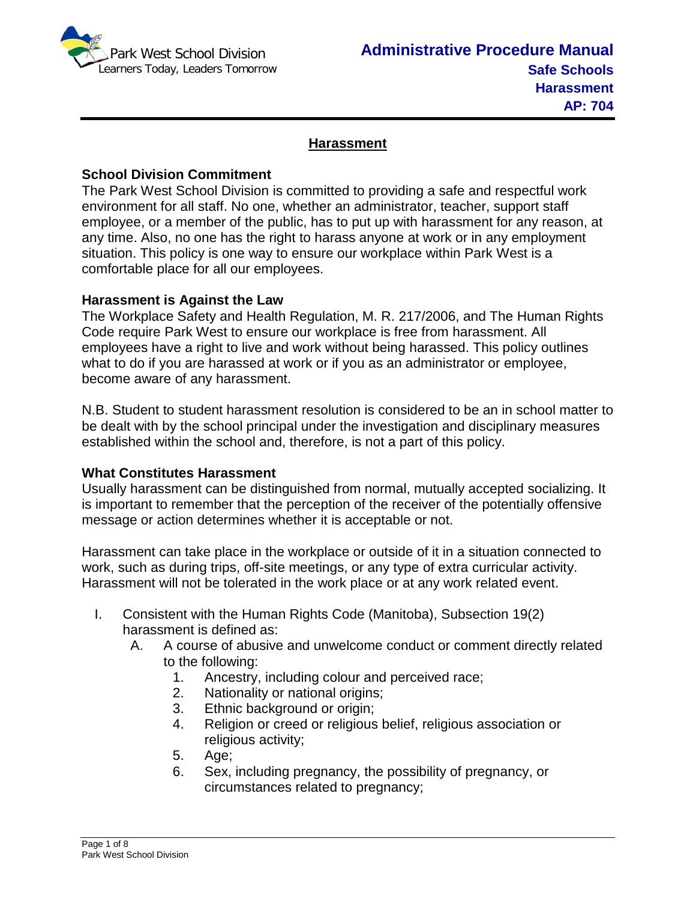

# **Harassment**

## **School Division Commitment**

The Park West School Division is committed to providing a safe and respectful work environment for all staff. No one, whether an administrator, teacher, support staff employee, or a member of the public, has to put up with harassment for any reason, at any time. Also, no one has the right to harass anyone at work or in any employment situation. This policy is one way to ensure our workplace within Park West is a comfortable place for all our employees.

## **Harassment is Against the Law**

The Workplace Safety and Health Regulation, M. R. 217/2006, and The Human Rights Code require Park West to ensure our workplace is free from harassment. All employees have a right to live and work without being harassed. This policy outlines what to do if you are harassed at work or if you as an administrator or employee, become aware of any harassment.

N.B. Student to student harassment resolution is considered to be an in school matter to be dealt with by the school principal under the investigation and disciplinary measures established within the school and, therefore, is not a part of this policy.

## **What Constitutes Harassment**

Usually harassment can be distinguished from normal, mutually accepted socializing. It is important to remember that the perception of the receiver of the potentially offensive message or action determines whether it is acceptable or not.

Harassment can take place in the workplace or outside of it in a situation connected to work, such as during trips, off-site meetings, or any type of extra curricular activity. Harassment will not be tolerated in the work place or at any work related event.

- I. Consistent with the Human Rights Code (Manitoba), Subsection 19(2) harassment is defined as:
	- A. A course of abusive and unwelcome conduct or comment directly related to the following:
		- 1. Ancestry, including colour and perceived race;
		- 2. Nationality or national origins;
		- 3. Ethnic background or origin;
		- 4. Religion or creed or religious belief, religious association or religious activity;
		- 5. Age;
		- 6. Sex, including pregnancy, the possibility of pregnancy, or circumstances related to pregnancy;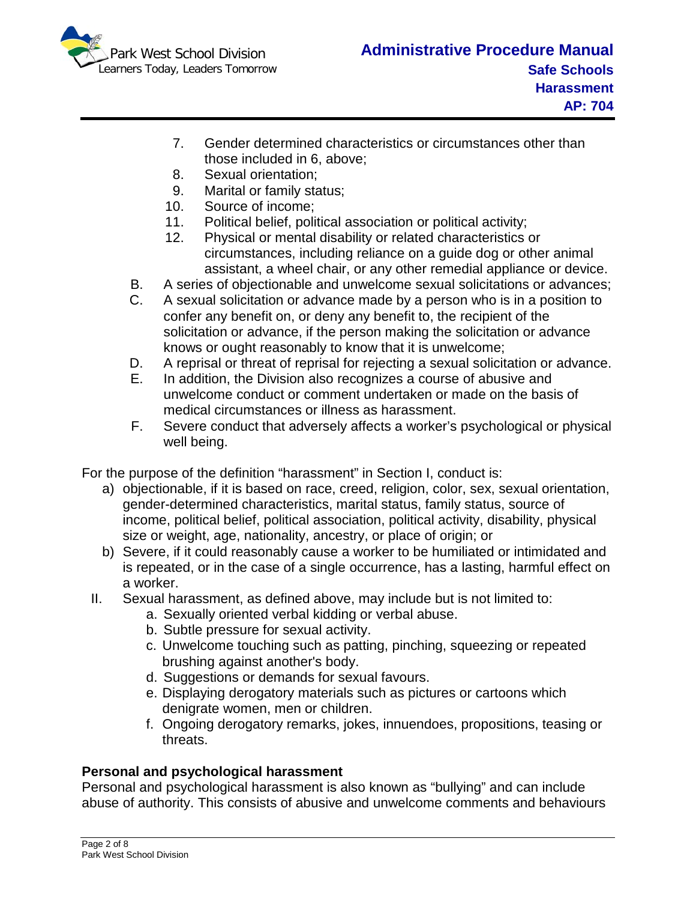

- 7. Gender determined characteristics or circumstances other than those included in 6, above;
- 8. Sexual orientation;
- 9. Marital or family status;
- 10. Source of income;
- 11. Political belief, political association or political activity;
- 12. Physical or mental disability or related characteristics or circumstances, including reliance on a guide dog or other animal assistant, a wheel chair, or any other remedial appliance or device.
- B. A series of objectionable and unwelcome sexual solicitations or advances;
- C. A sexual solicitation or advance made by a person who is in a position to confer any benefit on, or deny any benefit to, the recipient of the solicitation or advance, if the person making the solicitation or advance knows or ought reasonably to know that it is unwelcome;
- D. A reprisal or threat of reprisal for rejecting a sexual solicitation or advance.
- E. In addition, the Division also recognizes a course of abusive and unwelcome conduct or comment undertaken or made on the basis of medical circumstances or illness as harassment.
- F. Severe conduct that adversely affects a worker's psychological or physical well being.

For the purpose of the definition "harassment" in Section I, conduct is:

- a) objectionable, if it is based on race, creed, religion, color, sex, sexual orientation, gender-determined characteristics, marital status, family status, source of income, political belief, political association, political activity, disability, physical size or weight, age, nationality, ancestry, or place of origin; or
- b) Severe, if it could reasonably cause a worker to be humiliated or intimidated and is repeated, or in the case of a single occurrence, has a lasting, harmful effect on a worker.
- II. Sexual harassment, as defined above, may include but is not limited to:
	- a. Sexually oriented verbal kidding or verbal abuse.
		- b. Subtle pressure for sexual activity.
		- c. Unwelcome touching such as patting, pinching, squeezing or repeated brushing against another's body.
		- d. Suggestions or demands for sexual favours.
		- e. Displaying derogatory materials such as pictures or cartoons which denigrate women, men or children.
		- f. Ongoing derogatory remarks, jokes, innuendoes, propositions, teasing or threats.

# **Personal and psychological harassment**

Personal and psychological harassment is also known as "bullying" and can include abuse of authority. This consists of abusive and unwelcome comments and behaviours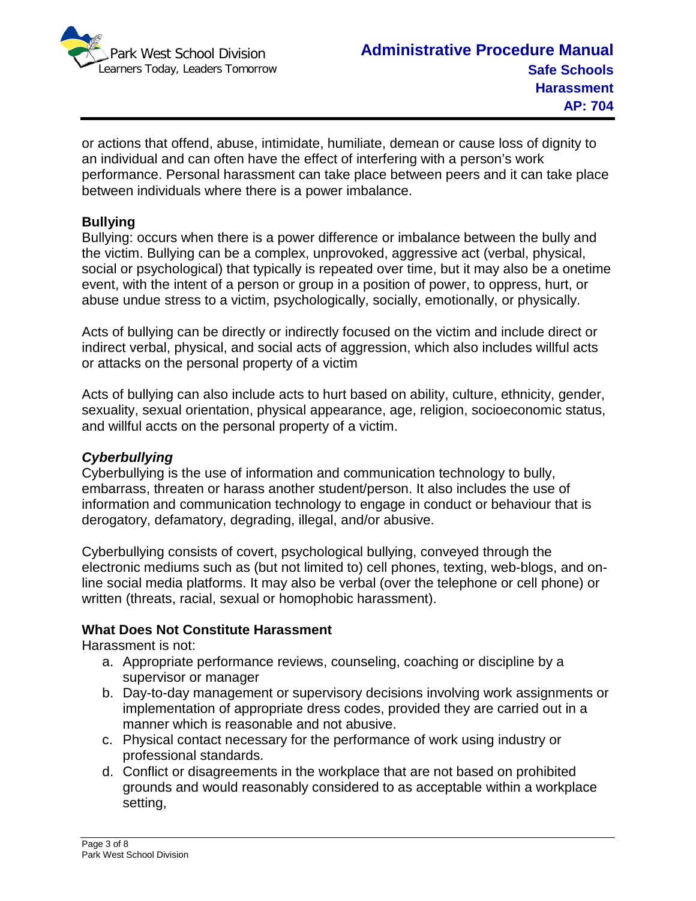

or actions that offend, abuse, intimidate, humiliate, demean or cause loss of dignity to an individual and can often have the effect of interfering with a person's work performance. Personal harassment can take place between peers and it can take place between individuals where there is a power imbalance.

### **Bullying**

Bullying: occurs when there is a power difference or imbalance between the bully and the victim. Bullying can be a complex, unprovoked, aggressive act (verbal, physical, social or psychological) that typically is repeated over time, but it may also be a onetime event, with the intent of a person or group in a position of power, to oppress, hurt, or abuse undue stress to a victim, psychologically, socially, emotionally, or physically.

Acts of bullying can be directly or indirectly focused on the victim and include direct or indirect verbal, physical, and social acts of aggression, which also includes willful acts or attacks on the personal property of a victim

Acts of bullying can also include acts to hurt based on ability, culture, ethnicity, gender, sexuality, sexual orientation, physical appearance, age, religion, socioeconomic status, and willful accts on the personal property of a victim.

## *Cyberbullying*

Cyberbullying is the use of information and communication technology to bully, embarrass, threaten or harass another student/person. It also includes the use of information and communication technology to engage in conduct or behaviour that is derogatory, defamatory, degrading, illegal, and/or abusive.

Cyberbullying consists of covert, psychological bullying, conveyed through the electronic mediums such as (but not limited to) cell phones, texting, web-blogs, and online social media platforms. It may also be verbal (over the telephone or cell phone) or written (threats, racial, sexual or homophobic harassment).

## **What Does Not Constitute Harassment**

Harassment is not:

- a. Appropriate performance reviews, counseling, coaching or discipline by a supervisor or manager
- b. Day-to-day management or supervisory decisions involving work assignments or implementation of appropriate dress codes, provided they are carried out in a manner which is reasonable and not abusive.
- c. Physical contact necessary for the performance of work using industry or professional standards.
- d. Conflict or disagreements in the workplace that are not based on prohibited grounds and would reasonably considered to as acceptable within a workplace setting,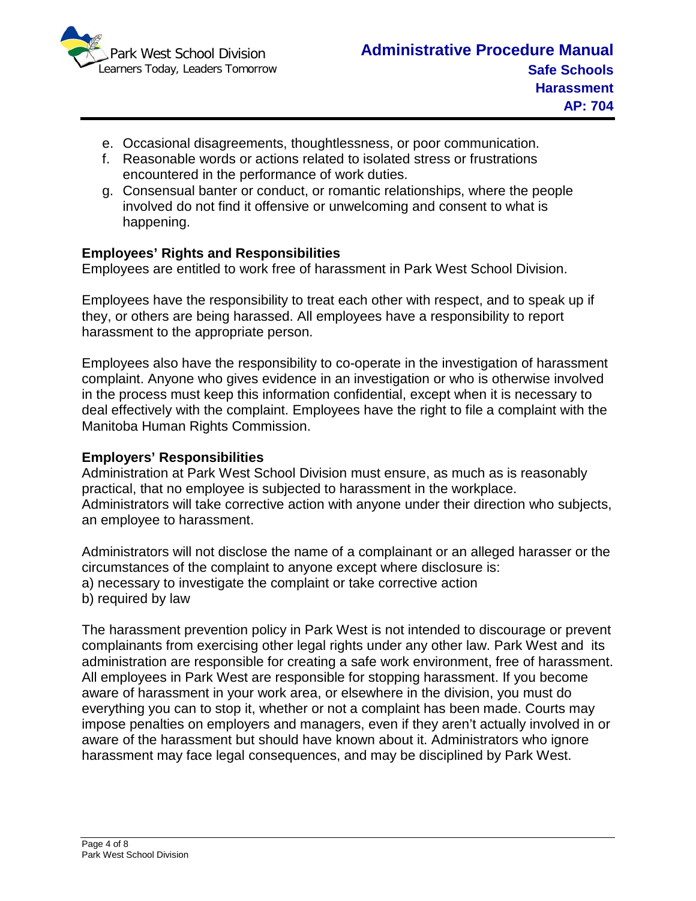

- e. Occasional disagreements, thoughtlessness, or poor communication.
- f. Reasonable words or actions related to isolated stress or frustrations encountered in the performance of work duties.
- g. Consensual banter or conduct, or romantic relationships, where the people involved do not find it offensive or unwelcoming and consent to what is happening.

# **Employees' Rights and Responsibilities**

Employees are entitled to work free of harassment in Park West School Division.

Employees have the responsibility to treat each other with respect, and to speak up if they, or others are being harassed. All employees have a responsibility to report harassment to the appropriate person.

Employees also have the responsibility to co-operate in the investigation of harassment complaint. Anyone who gives evidence in an investigation or who is otherwise involved in the process must keep this information confidential, except when it is necessary to deal effectively with the complaint. Employees have the right to file a complaint with the Manitoba Human Rights Commission.

## **Employers' Responsibilities**

Administration at Park West School Division must ensure, as much as is reasonably practical, that no employee is subjected to harassment in the workplace. Administrators will take corrective action with anyone under their direction who subjects, an employee to harassment.

Administrators will not disclose the name of a complainant or an alleged harasser or the circumstances of the complaint to anyone except where disclosure is:

- a) necessary to investigate the complaint or take corrective action
- b) required by law

The harassment prevention policy in Park West is not intended to discourage or prevent complainants from exercising other legal rights under any other law. Park West and its administration are responsible for creating a safe work environment, free of harassment. All employees in Park West are responsible for stopping harassment. If you become aware of harassment in your work area, or elsewhere in the division, you must do everything you can to stop it, whether or not a complaint has been made. Courts may impose penalties on employers and managers, even if they aren't actually involved in or aware of the harassment but should have known about it. Administrators who ignore harassment may face legal consequences, and may be disciplined by Park West.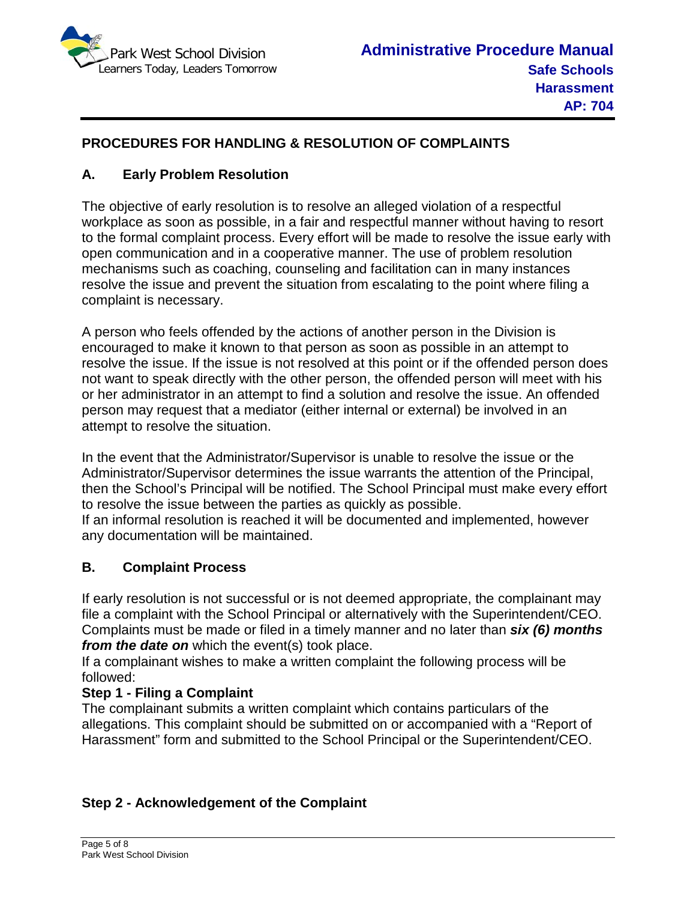

# **PROCEDURES FOR HANDLING & RESOLUTION OF COMPLAINTS**

# **A. Early Problem Resolution**

The objective of early resolution is to resolve an alleged violation of a respectful workplace as soon as possible, in a fair and respectful manner without having to resort to the formal complaint process. Every effort will be made to resolve the issue early with open communication and in a cooperative manner. The use of problem resolution mechanisms such as coaching, counseling and facilitation can in many instances resolve the issue and prevent the situation from escalating to the point where filing a complaint is necessary.

A person who feels offended by the actions of another person in the Division is encouraged to make it known to that person as soon as possible in an attempt to resolve the issue. If the issue is not resolved at this point or if the offended person does not want to speak directly with the other person, the offended person will meet with his or her administrator in an attempt to find a solution and resolve the issue. An offended person may request that a mediator (either internal or external) be involved in an attempt to resolve the situation.

In the event that the Administrator/Supervisor is unable to resolve the issue or the Administrator/Supervisor determines the issue warrants the attention of the Principal, then the School's Principal will be notified. The School Principal must make every effort to resolve the issue between the parties as quickly as possible.

If an informal resolution is reached it will be documented and implemented, however any documentation will be maintained.

## **B. Complaint Process**

If early resolution is not successful or is not deemed appropriate, the complainant may file a complaint with the School Principal or alternatively with the Superintendent/CEO. Complaints must be made or filed in a timely manner and no later than *six (6) months from the date on* which the event(s) took place.

If a complainant wishes to make a written complaint the following process will be followed:

## **Step 1 - Filing a Complaint**

The complainant submits a written complaint which contains particulars of the allegations. This complaint should be submitted on or accompanied with a "Report of Harassment" form and submitted to the School Principal or the Superintendent/CEO.

# **Step 2 - Acknowledgement of the Complaint**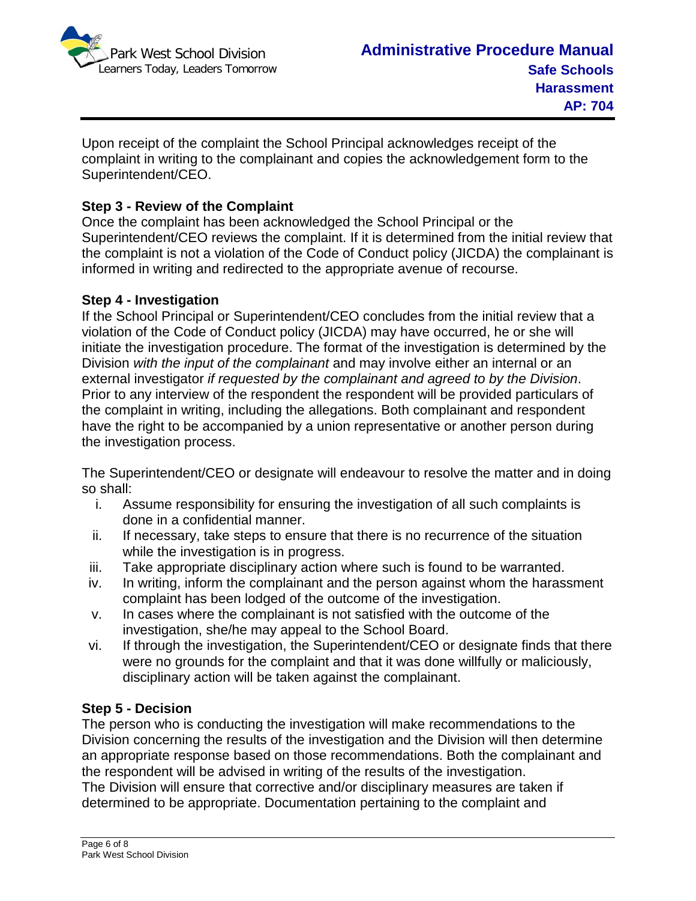

Upon receipt of the complaint the School Principal acknowledges receipt of the complaint in writing to the complainant and copies the acknowledgement form to the Superintendent/CEO.

# **Step 3 - Review of the Complaint**

Once the complaint has been acknowledged the School Principal or the Superintendent/CEO reviews the complaint. If it is determined from the initial review that the complaint is not a violation of the Code of Conduct policy (JICDA) the complainant is informed in writing and redirected to the appropriate avenue of recourse.

#### **Step 4 - Investigation**

If the School Principal or Superintendent/CEO concludes from the initial review that a violation of the Code of Conduct policy (JICDA) may have occurred, he or she will initiate the investigation procedure. The format of the investigation is determined by the Division *with the input of the complainant* and may involve either an internal or an external investigator *if requested by the complainant and agreed to by the Division*. Prior to any interview of the respondent the respondent will be provided particulars of the complaint in writing, including the allegations. Both complainant and respondent have the right to be accompanied by a union representative or another person during the investigation process.

The Superintendent/CEO or designate will endeavour to resolve the matter and in doing so shall:

- i. Assume responsibility for ensuring the investigation of all such complaints is done in a confidential manner.
- ii. If necessary, take steps to ensure that there is no recurrence of the situation while the investigation is in progress.
- iii. Take appropriate disciplinary action where such is found to be warranted.
- iv. In writing, inform the complainant and the person against whom the harassment complaint has been lodged of the outcome of the investigation.
- v. In cases where the complainant is not satisfied with the outcome of the investigation, she/he may appeal to the School Board.
- vi. If through the investigation, the Superintendent/CEO or designate finds that there were no grounds for the complaint and that it was done willfully or maliciously, disciplinary action will be taken against the complainant.

## **Step 5 - Decision**

The person who is conducting the investigation will make recommendations to the Division concerning the results of the investigation and the Division will then determine an appropriate response based on those recommendations. Both the complainant and the respondent will be advised in writing of the results of the investigation. The Division will ensure that corrective and/or disciplinary measures are taken if determined to be appropriate. Documentation pertaining to the complaint and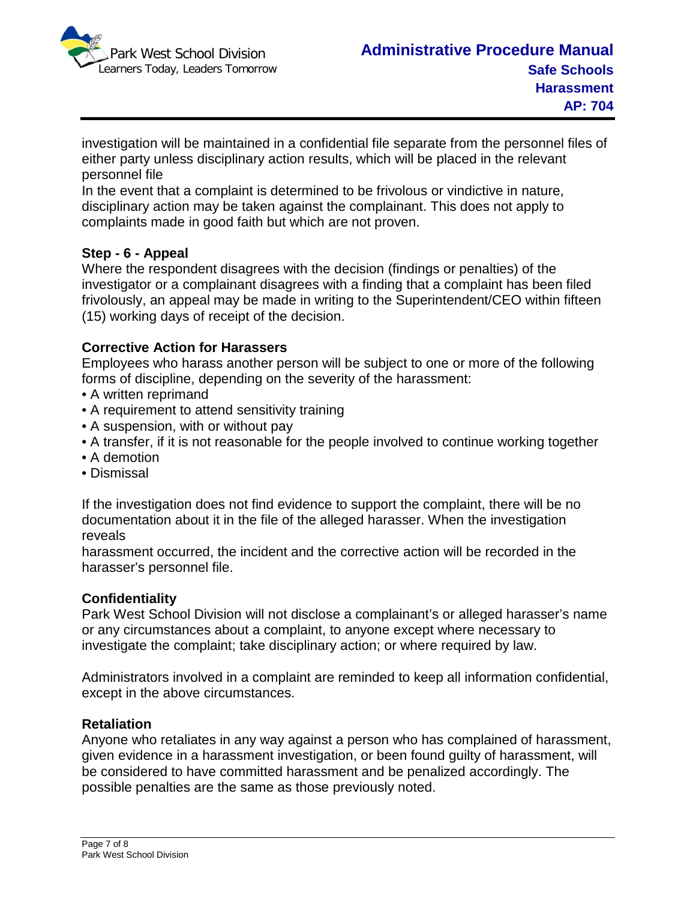

investigation will be maintained in a confidential file separate from the personnel files of either party unless disciplinary action results, which will be placed in the relevant personnel file

In the event that a complaint is determined to be frivolous or vindictive in nature, disciplinary action may be taken against the complainant. This does not apply to complaints made in good faith but which are not proven.

## **Step - 6 - Appeal**

Where the respondent disagrees with the decision (findings or penalties) of the investigator or a complainant disagrees with a finding that a complaint has been filed frivolously, an appeal may be made in writing to the Superintendent/CEO within fifteen (15) working days of receipt of the decision.

#### **Corrective Action for Harassers**

Employees who harass another person will be subject to one or more of the following forms of discipline, depending on the severity of the harassment:

- A written reprimand
- A requirement to attend sensitivity training
- A suspension, with or without pay
- A transfer, if it is not reasonable for the people involved to continue working together
- A demotion
- Dismissal

If the investigation does not find evidence to support the complaint, there will be no documentation about it in the file of the alleged harasser. When the investigation reveals

harassment occurred, the incident and the corrective action will be recorded in the harasser's personnel file.

#### **Confidentiality**

Park West School Division will not disclose a complainant's or alleged harasser's name or any circumstances about a complaint, to anyone except where necessary to investigate the complaint; take disciplinary action; or where required by law.

Administrators involved in a complaint are reminded to keep all information confidential, except in the above circumstances.

#### **Retaliation**

Anyone who retaliates in any way against a person who has complained of harassment, given evidence in a harassment investigation, or been found guilty of harassment, will be considered to have committed harassment and be penalized accordingly. The possible penalties are the same as those previously noted.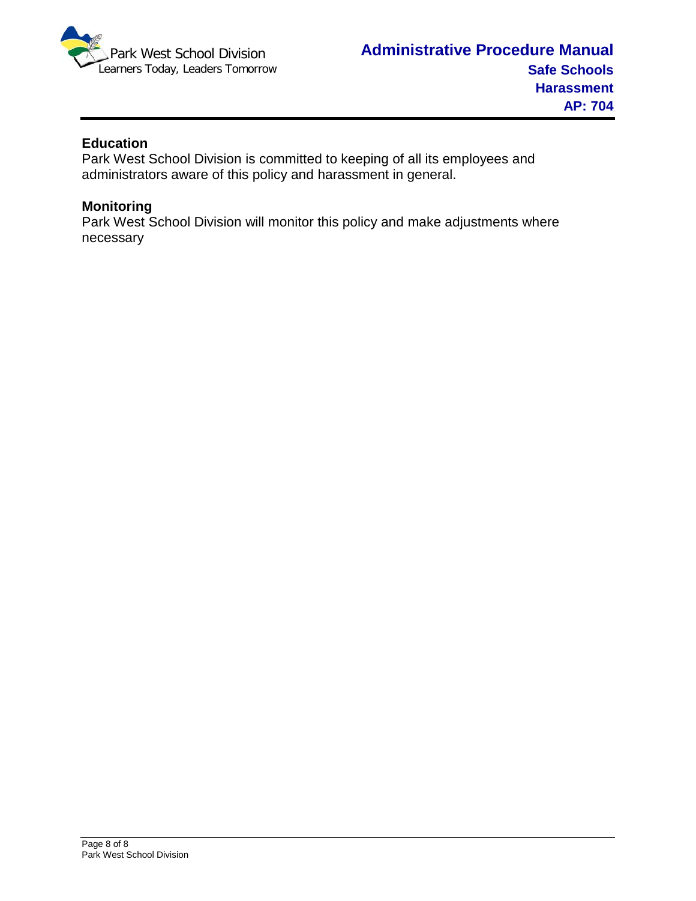

### **Education**

Park West School Division is committed to keeping of all its employees and administrators aware of this policy and harassment in general.

#### **Monitoring**

Park West School Division will monitor this policy and make adjustments where necessary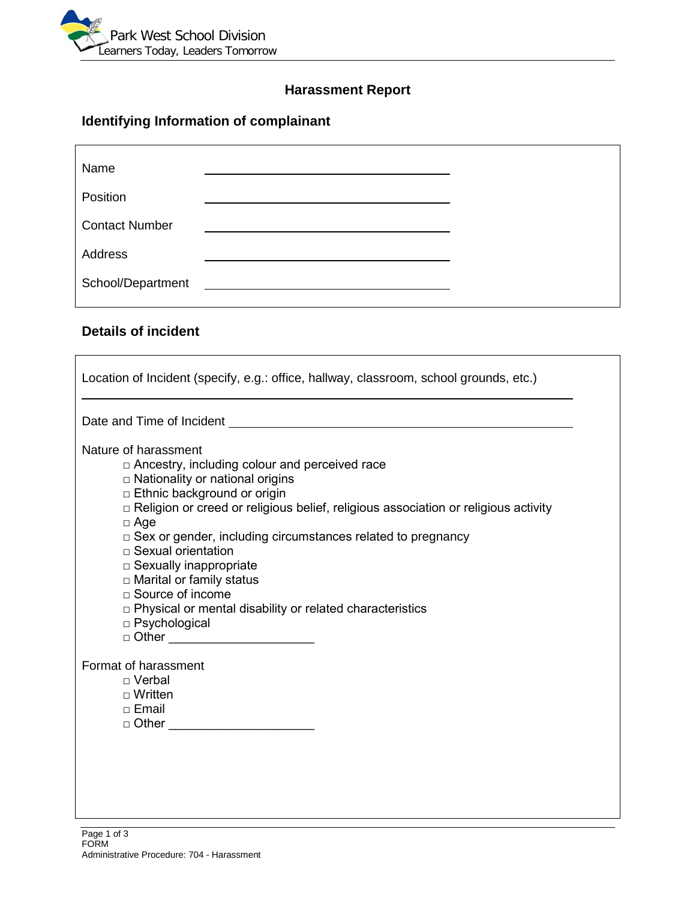

# **Harassment Report**

# **Identifying Information of complainant**

| Position<br>Address                        | Name |  |
|--------------------------------------------|------|--|
| <b>Contact Number</b><br>School/Department |      |  |
|                                            |      |  |
|                                            |      |  |
|                                            |      |  |

# **Details of incident**

 $\overline{1}$ 

| Location of Incident (specify, e.g.: office, hallway, classroom, school grounds, etc.)                                                                                                                                                                                                                                                                                                                                                                                                                                                                                       |
|------------------------------------------------------------------------------------------------------------------------------------------------------------------------------------------------------------------------------------------------------------------------------------------------------------------------------------------------------------------------------------------------------------------------------------------------------------------------------------------------------------------------------------------------------------------------------|
| Date and Time of Incident example of the state of the state of the state of the state of the state of the state of the state of the state of the state of the state of the state of the state of the state of the state of the                                                                                                                                                                                                                                                                                                                                               |
| Nature of harassment<br>$\Box$ Ancestry, including colour and perceived race<br>□ Nationality or national origins<br>□ Ethnic background or origin<br>□ Religion or creed or religious belief, religious association or religious activity<br>$\Box$ Age<br>$\Box$ Sex or gender, including circumstances related to pregnancy<br>$\Box$ Sexual orientation<br>$\Box$ Sexually inappropriate<br>□ Marital or family status<br>$\Box$ Source of income<br>□ Physical or mental disability or related characteristics<br>□ Psychological<br>□ Other __________________________ |
| Format of harassment<br>$\Box$ Verbal<br>$\Box$ Written<br>$\Box$ Email<br>□ Other _________________________                                                                                                                                                                                                                                                                                                                                                                                                                                                                 |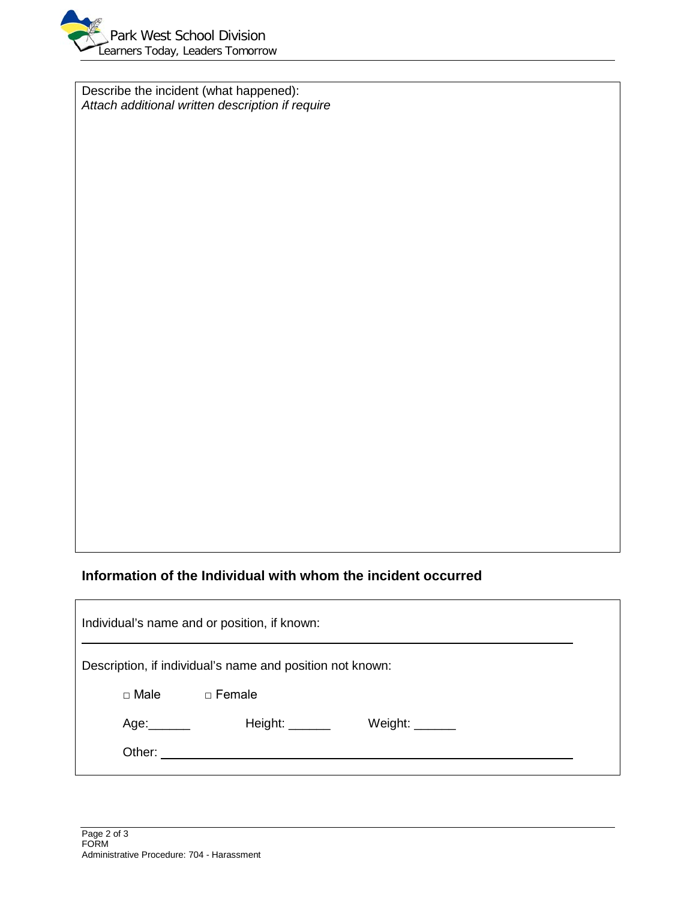

Describe the incident (what happened): *Attach additional written description if require*

# **Information of the Individual with whom the incident occurred**

| Individual's name and or position, if known:              |                |                                            |  |  |  |  |
|-----------------------------------------------------------|----------------|--------------------------------------------|--|--|--|--|
| Description, if individual's name and position not known: |                |                                            |  |  |  |  |
| $\Box$ Male $\Box$ Female                                 |                |                                            |  |  |  |  |
| Age:______                                                | Height: $\_\_$ | Weight: $\_\_\_\_\_\_\_\_\_\_\_\_\_\_\_\_$ |  |  |  |  |
|                                                           |                |                                            |  |  |  |  |